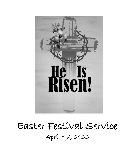

# Easter Festival Service April 17, 2022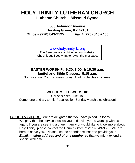## **HOLY TRINITY LUTHERAN CHURCH Lutheran Church – Missouri Synod**

**553 Ashmoor Avenue Bowling Green, KY 42101 Office # (270) 843-9595 Fax # (270) 843-7466**

[www.holytrinity-lc.org](http://www.holytrinity-lc.org/)

The Sermons are archived on our website. Check it out if you want to revisit the message.

**EASTER WORSHIP: 6:30, 8:00, & 10:30 a.m. Ignite! and Bible Classes: 9:15 a.m.**

(No Ignite! nor Youth classes today; Adult Bible class will meet)

#### **WELCOME TO WORSHIP**

Christ is risen! Alleluia! Come, one and all, to this Resurrection Sunday worship celebration!

**TO OUR VISITORS:** We are delighted that you have joined us today. We pray that the service blesses you and invite you to worship with us again. If you are seeking a church family or would like to know more about Holy Trinity, please contact the Church Office at (270) 843-9595. We are here to serve you. Please use the attendance insert to provide your *Email, mailing address and phone number* so that we might extend a special welcome.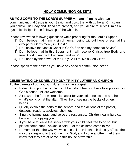## **HOLY COMMUNION GUESTS**

**AS YOU COME TO THE LORD'S SUPPER** you are affirming with each communicant that Jesus is your Savior and Lord, that with Lutheran Christians you believe His Body and Blood are present, and you desire to serve Him as a dynamic disciple in the fellowship of the Church.

Please review the following questions while preparing for the Lord's Supper.

- 1) Do I believe that I am a sinful human being without hope of eternal life except for God's mercy in Christ?
- 2) Do I believe that Jesus Christ is God's Son and my personal Savior?
- 3) Do I believe that in this Sacrament I will receive Christ's true Body and true Blood in and with the bread and wine?
- 4) Do I hope by the power of the Holy Spirit to live a Godly life?

Please speak to the pastor if you have any special communion needs.

## **CELEBRATING CHILDREN AT HOLY TRINITY LUTHERAN CHURCH:**

To the parents of our young children, may we suggest:

- Relax! God put the wiggle in children; don't feel you have to suppress it in God's house. All are welcome.
- Sit toward the front where it is easier for your little ones to see and hear what's going on at the altar. They tire of seeing the backs of others' heads.
- Quietly explain the parts of the service and the actions of the pastor, deacons, readers, acolytes, choir, etc.
- Sing the hymns, pray, and voice the responses. Children learn liturgical behavior by copying you.
- If you have to leave the service with your child, feel free to do so, but please come back. As Jesus said, "Let the children come to Me."
- Remember that the way we welcome children in church directly affects the way they respond to the Church, to God, and to one another. Let them know that they are at home in this house of worship.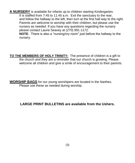**A NURSERY** is available for infants up to children starting Kindergarten. It is staffed from 7:45 to 11:45 a.m. Exit the sanctuary to the rear, and follow the hallway to the left, then turn at the first hall way to the right. Parents are welcome to worship with their children, but please use the nursery as needed. If you have any questions regarding the nursery please contact Laurie Seavey at (270) 991-1172.

**NOTE**: There is also a "nursing/cry room" just before the hallway to the nursery.

**TO THE MEMBERS OF HOLY TRINITY:** The presence of children is a gift to the church and they are a reminder that our church is growing. Please welcome all children and give a smile of encouragement to their parents.

**WORSHIP BAGS** for our young worshipers are located in the Narthex. Please use these as needed during worship.

#### **LARGE PRINT BULLETINS are available from the Ushers.**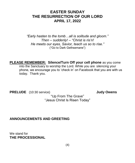## **EASTER SUNDAY THE RESURRECTION OF OUR LORD APRIL 17, 2022**

*"Early hasten to the tomb…all is solitude and gloom." Then – suddenly! – "Christ is ris'n! He meets our eyes, Savior, teach us so to rise."* ("Go to Dark Gethsemane")

**PLEASE REMEMBER: Silence/Turn Off your cell phone** as you come into the Sanctuary to worship the Lord. While you are silencing your phone, we encourage you to 'check in' on Facebook that you are with us today. Thank you.

**PRELUDE** (10:30 service) **Judy Owens** 

"Up From The Grave" "Jesus Christ Is Risen Today"

#### **ANNOUNCEMENTS AND GREETING**

We stand for **THE PROCESSIONAL**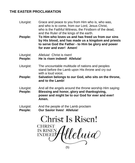## **THE EASTER PROCLAMATION**

- Liturgist: Grace and peace to you from Him who is, who was, and who is to come, from our Lord, Jesus Christ, who is the Faithful Witness, the Firstborn of the dead, and the Ruler of the kings of the earth.
- **People: To Him who loves us and has freed us from our sins by His blood, and has made us a kingdom and priests to serve God the Father - to Him be glory and power for ever and ever! Amen!**
- Liturgist: Alleluia! Christ is risen!

**People: He is risen indeed! Alleluia!**

- Liturgist: The uncountable multitude of nations and peoples stand before the Lamb upon His throne and cry out with a loud voice;
- **People: Salvation belongs to our God, who sits on the throne, and to the Lamb!**
- Liturgist: And all the angels around the throne worship Him saying: **People: Blessing and honor, glory and thanksgiving, power and might be to our God for ever and ever! Amen.**
- Liturgist: And the people of the Lamb proclaim

**People: Our Savior lives! Alleluia!**

Christ Is Risen!

**CHRIST IS RISEN** eluia **INDEED?**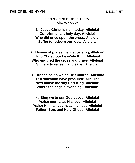#### **THE OPENING HYMN L.S.B. #457**

"Jesus Christ Is Risen Today" Charles Wesley

- **1. Jesus Christ is ris'n today, Alleluia! Our triumphant holy day, Alleluia! Who did once upon the cross, Alleluia! Suffer to redeem our loss. Alleluia!**
- **2. Hymns of praise then let us sing, Alleluia! Unto Christ, our heav'nly King, Alleluia! Who endured the cross and grave, Alleluia! Sinners to redeem and save. Alleluia!**
- **3. But the pains which He endured, Alleluia! Our salvation have procured; Alleluia! Now above the sky He's King, Alleluia! Where the angels ever sing. Alleluia!**

**4. Sing we to our God above, Alleluia! Praise eternal as His love; Alleluia! Praise Him, all you heav'nly host, Alleluia! Father, Son, and Holy Ghost. Alleluia!**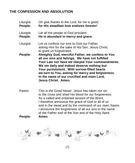## **THE CONFESSION AND ABSOLUTION**

| Liturgist: | Oh give thanks to the Lord, for He is good;                                                                                                                                                                                                                                                                                                                                     |  |  |
|------------|---------------------------------------------------------------------------------------------------------------------------------------------------------------------------------------------------------------------------------------------------------------------------------------------------------------------------------------------------------------------------------|--|--|
| People:    | for His steadfast love endures forever!                                                                                                                                                                                                                                                                                                                                         |  |  |
| Liturgist: | Let all the people of God proclaim                                                                                                                                                                                                                                                                                                                                              |  |  |
| People:    | He is abundant in mercy and grace.                                                                                                                                                                                                                                                                                                                                              |  |  |
| Liturgist: | Let us confess our sins to God our Father,<br>asking Him for the sake of His Son, Jesus Christ,<br>to grant us forgiveness.                                                                                                                                                                                                                                                     |  |  |
| People:    | Almighty God, merciful Father, we confess to You<br>all our sins and failings. We have not fulfilled<br>Your Law nor have we obeyed Your commandments.<br>We sin daily and indeed deserve nothing but<br>Your punishment. With sorrow-filled hearts<br>we turn to You, asking for mercy and forgiveness.<br>In the name of our crucified and risen Lord,<br>Jesus Christ. Amen. |  |  |

Pastor: This is the Good News! Jesus has taken our sin to the cross and shed His blood for our forgiveness. As a called and ordained servant of the Word, I therefore announce the grace of God to all of us and in the stead and by the command of our risen Savior, I announce the forgiveness of all our sins in the name of the Father and of the Son and of the Holy Spirit. **People: Amen.**



(7)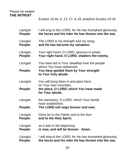#### Please be seated **THE INTROIT**

*Exodus 15:2a, 6, 13, 17, & 18; antiphon Exodus 15:1b*

| Liturgist:<br>People: | I will sing to the LORD, for He has triumphed gloriously;<br>the horse and his rider He has thrown into the sea. |  |  |
|-----------------------|------------------------------------------------------------------------------------------------------------------|--|--|
| Liturgist:<br>People: | The LORD is my strength and my song,<br>and He has become my salvation;                                          |  |  |
| Liturgist:<br>People: | Your right hand, O LORD, glorious in power,<br>Your right hand, O LORD, shatters the enemy.                      |  |  |
| Liturgist:            | You have led in Your steadfast love the people<br>whom You have redeemed;                                        |  |  |
| People:               | You have guided them by Your strength<br>to Your holy abode.                                                     |  |  |
| Liturgist:            | You will bring them in and plant them<br>on Your own mountain,                                                   |  |  |
| People:               | the place, O LORD, which You have made<br>for Your abode,                                                        |  |  |
| Liturgist:            | the sanctuary, O LORD, which Your hands<br>have established.                                                     |  |  |
| People:               | The LORD will reign forever and ever.                                                                            |  |  |
| Liturgist:<br>People: | Glory be to the Father and to the Son<br>and to the Holy Spirit;                                                 |  |  |
| Liturgist:<br>People: | as it was in the beginning,<br>is now, and will be forever. Amen.                                                |  |  |
| Liturgist:<br>People: | I will sing to the LORD, for He has triumphed gloriously;<br>the horse and his rider He has thrown into the sea. |  |  |
|                       |                                                                                                                  |  |  |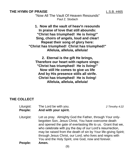#### **THE HYMN OF PRAISE L.S.B. #465**

"Now All The Vault Of Heaven Resounds" Paul Z. Stodach

**1. Now all the vault of heav'n resounds In praise of love that still abounds: "Christ has triumphed! He is living!" Sing, choirs of angels, loud and clear! Repeat their song of glory here: "Christ has triumphed! Christ has triumphed!" Alleluia, alleluia, alleluia!**

**2. Eternal is the gift He brings, Therefore our heart with rapture sings: "Christ has triumphed! He is living!" Now still He comes to give us life And by His presence stills all strife. Christ has triumphed! He is living! Alleluia, alleluia, alleluia!**

#### **THE COLLECT**

| Liturgist: | The Lord be with you. | 2 Timothy 4:22 |
|------------|-----------------------|----------------|
| People:    | And with your spirit. |                |

Liturgist: Let us pray. Almighty God the Father, through Your onlybegotten Son, Jesus Christ, You have overcome death and opened the gate of everlasting life to us. Grant that we, who celebrate with joy the day of our Lord's resurrection, may be raised from the death of sin by Your life-giving Spirit; through Jesus Christ, our Lord, who lives and reigns with You and the Holy Spirit, one God, now and forever.

**People: Amen.**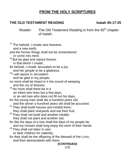## **FROM THE HOLY SCRIPTURES**

### **THE OLD TESTAMENT READING Isaiah 65:17-25**

Reader: The Old Testament Reading is from the 65<sup>th</sup> chapter of Isaiah.

<sup>17</sup> "For behold, I create new heavens and a new earth, and the former things shall not be remembered or come into mind. <sup>18</sup> But be glad and rejoice forever in that which I create; for behold, I create Jerusalem to be a joy, and her people to be a gladness. <sup>19</sup> I will rejoice in Jerusalem and be glad in my people; no more shall be heard in it the sound of weeping and the cry of distress. <sup>20</sup> No more shall there be in it an infant who lives but a few days, or an old man who does not fill out his days, for the young man shall die a hundred years old, and the sinner a hundred years old shall be accursed.  $21$  They shall build houses and inhabit them; they shall plant vineyards and eat their fruit.  $22$  Thev shall not build and another inhabit; they shall not plant and another eat; for like the days of a tree shall the days of my people be, and my chosen shall long enjoy the work of their hands.  $23$  They shall not labor in vain or bear children for calamity, for they shall be the offspring of the blessed of the LORD, and their descendants with them. **(CONTINUED)** (10)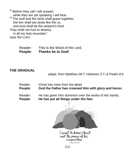<sup>24</sup> Before they call I will answer; while they are yet speaking I will hear.  $25$  The wolf and the lamb shall graze together; the lion shall eat straw like the ox, and dust shall be the serpent's food. They shall not hurt or destroy in all my holy mountain," says the LORD.

> Reader: This is the Word of the Lord. **People: Thanks be to God!**

#### **THE GRADUAL**

*adapt. from Matthew 28:7; Hebrews 2:7; & Psalm 8:6*

- Reader: Christ has risen from the dead.
- **People: God the Father has crowned Him with glory and honor,**
- Reader: He has given Him dominion over the works of His hands;
- **People: He has put all things under His feet.**



Twent to know Christ and the power of his recurrection Philadelphia S.D. (485)

(11)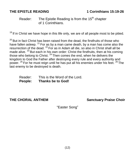#### **THE EPISTLE READING 1 Corinthians 15:19-26**

#### Reader: The Epistle Reading is from the  $15<sup>th</sup>$  chapter of 1 Corinthians.

 $19$  If in Christ we have hope in this life only, we are of all people most to be pitied.

 $20$  But in fact Christ has been raised from the dead, the firstfruits of those who have fallen asleep.  $21$  For as by a man came death, by a man has come also the resurrection of the dead.  $^{22}$  For as in Adam all die, so also in Christ shall all be made alive.  $^{23}$  But each in his own order: Christ the firstfruits, then at his coming those who belong to Christ. <sup>24</sup> Then comes the end, when he delivers the kingdom to God the Father after destroying every rule and every authority and power.  $25$  For he must reign until he has put all his enemies under his feet.  $26$  The last enemy to be destroyed is death.

Reader: This is the Word of the Lord. **People: Thanks be to God!**

## **THE CHORAL ANTHEM Sanctuary Praise Choir**

"Easter Song"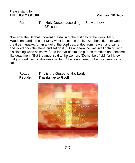#### Please stand for **THE HOLY GOSPEL Matthew 28:1-6a**

Reader: The Holy Gospel according to St. Matthew, the  $28<sup>th</sup>$  chapter.

Now after the Sabbath, toward the dawn of the first day of the week, Mary Magdalene and the other Mary went to see the tomb.  $2$  And behold, there was a great earthquake, for an angel of the Lord descended from heaven and came and rolled back the stone and sat on it.  $3$  His appearance was like lightning, and his clothing white as snow. <sup>4</sup> And for fear of him the guards trembled and became like dead men.  $5$  But the angel said to the women, "Do not be afraid, for I know that you seek Jesus who was crucified.  $6$  He is not here, for he has risen, as he said."

#### Reader: This is the Gospel of the Lord. **People: Thanks be to God!**

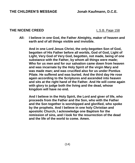#### **THE NICENE CREED** L.S.B. Page 158

**All: I believe in one God, the Father Almighty, maker of heaven and earth and of all things visible and invisible.**

**And in one Lord Jesus Christ, the only-begotten Son of God, begotten of His Father before all worlds, God of God, Light of Light, Very God of Very God, begotten, not made, being of one substance with the Father, by whom all things were made; Who for us men and for our salvation came down from heaven and was incarnate by the Holy Spirit of the virgin Mary and was made man; and was crucified also for us under Pontius Pilate. He suffered and was buried. And the third day He rose again according to the Scriptures and ascended into heaven and sits at the right hand of the Father. And He will come again with glory to judge both the living and the dead, whose kingdom will have no end.**

**And I believe in the Holy Spirit, the Lord and giver of life, who proceeds from the Father and the Son, who with the Father and the Son together is worshipped and glorified, who spoke by the prophets. And I believe in one holy Christian and apostolic Church, I acknowledge one Baptism for the remission of sins, and I look for the resurrection of the dead and the life of the world to come. Amen.**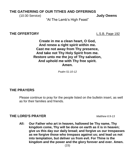#### **THE GATHERING OF OUR TITHES AND OFFERINGS**

(10:30 Service) **Judy Owens**

"At The Lamb's High Feast"

#### **THE OFFERTORY** L.S.B. Page 192

**Create in me a clean heart, O God, And renew a right spirit within me. Cast me not away from Thy presence, And take not Thy Holy Spirit from me. Restore unto me the joy of Thy salvation, And uphold me with Thy free spirit. Amen.**

*Psalm 51:10-12*

#### **THE PRAYERS**

Please continue to pray for the people listed on the bulletin insert, as well as for their families and friends.

#### **THE LORD'S PRAYER** *Matthew 6:9-13*

**All: Our Father who art in heaven, hallowed be Thy name, Thy kingdom come, Thy will be done on earth as it is in heaven; give us this day our daily bread; and forgive us our trespasses as we forgive those who trespass against us; and lead us not into temptation, but deliver us from evil. For Thine is the kingdom and the power and the glory forever and ever. Amen.**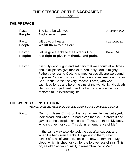## **THE SERVICE OF THE SACRAMENT**

L.S.B. Page 160

#### **THE PREFACE**

| Pastor:<br>People: | The Lord be with you.<br>And also with you.                                                                                                                                                                                                                                                                         | 2 Timothy 4:22 |
|--------------------|---------------------------------------------------------------------------------------------------------------------------------------------------------------------------------------------------------------------------------------------------------------------------------------------------------------------|----------------|
| Pastor:<br>People: | Lift up your hearts.<br>We lift them to the Lord.                                                                                                                                                                                                                                                                   | Colossians 3:1 |
| Pastor:<br>People: | Let us give thanks to the Lord our God.<br>It is right to give Him thanks and praise.                                                                                                                                                                                                                               | Psalm 136      |
| Pastor:            | It is truly good, right, and salutary that we should at all times<br>and in all places give thanks to You, holy Lord, almighty<br>Father, everlasting God. And most especially are we bound<br>to praise You on this day for the glorious resurrection of Your<br>Son, Jesus Christ; the very Paschal Lamb, who was |                |

sacrificed for us and bore the sins of the world. By His death He has destroyed death, and by His rising again He has restored to us everlasting life.

#### **THE WORDS OF INSTITUTION**

*Matthew 26:26-28; Mark 14:22-24; Luke 22:19 & 20; 1 Corinthians 11:23-25*

Pastor: Our Lord Jesus Christ, on the night when He was betrayed, took bread, and when He had given thanks, He broke it and gave it to the disciples and said: "Take, eat; this is My body, which is given for you. This do in remembrance of Me."

> In the same way also He took the cup after supper, and when He had given thanks, He gave it to them, saying: "Drink of it, all of you; this cup is the new testament in My blood, which is shed for you for the forgiveness of sins. This do, as often as you drink it, in remembrance of Me."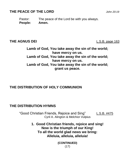## **THE PEACE OF THE LORD** *John 20:19*

Pastor: The peace of the Lord be with you always. **People: Amen.** 

#### **THE AGNUS DEI** L.S.B. page 163

**Lamb of God, You take away the sin of the world; have mercy on us. Lamb of God, You take away the sin of the world; have mercy on us. Lamb of God, You take away the sin of the world; grant us peace.**

#### **THE DISTRIBUTION OF HOLY COMMUNION**

## **THE DISTRIBUTION HYMNS**

"Good Christian Friends, Rejoice and Sing" L.S.B. #475 Cyril A. Alington & Melchior Vulpius

> **1. Good Christian friends, rejoice and sing! Now is the triumph of our King! To all the world glad news we bring: Alleluia, alleluia, alleluia!**

> > **(CONTINUED)** (17)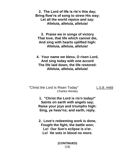**2. The Lord of life is ris'n this day; Bring flow'rs of song to strew His way; Let all the world rejoice and say: Alleluia, alleluia, alleluia!**

**3. Praise we in songs of victory That love, that life which cannot die, And sing with hearts uplifted high: Alleluia, alleluia, alleluia!**

**4. Your name we bless, O risen Lord, And sing today with one accord The life laid down, the life restored: Alleluia, alleluia, alleluia!**

"Christ the Lord Is Risen Today" L.S.B. #469 Charles Wesley

**1. "Christ the Lord is ris'n today!" Saints on earth with angels say; Raise your joys and triumphs high: Sing, ye heav'ns; and earth, reply.**

**2. Love's redeeming work is done, Fought the fight, the battle won; Lo! Our Sun's eclipse is o'er. Lo! He sets in blood no more.**

> **(CONTINUED)** (18)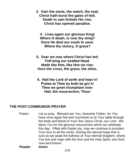**3. Vain the stone, the watch, the seal; Christ hath burst the gates of hell. Death in vain forbids His rise; Christ has opened paradise.**

**4. Lives again our glorious King! Where O death, is now thy sting? Once He died our souls to save; Where thy victory, O grave?**

**5. Soar we now where Christ has led; Foll'wing our exalted Head. Made like Him, like Him we rise; Ours the cross, the grave, the skies.**

**6. Hail the Lord of earth and heav'n! Praise to Thee by both be giv'n! Thee we greet triumphant now: Hail, the resurrection, Thou!**

#### **THE POST-COMMUNION PRAYER**

- Pastor: Let us pray. Blessed are You, heavenly Father, for You have once again fed and nourished us at Your table through the body and blood of Your Son Jesus Christ, our Lord. We bless You for His glorious resurrection which we celebrate this day. Filled with Easter joy, may we continue to proclaim Your love to all the world, sharing the eternal hope that is ours as we await the fullness of Your eternal kingdom; where You live and reign with the Son and the Holy Spirit, one God, now and forever.
- **People: Amen.**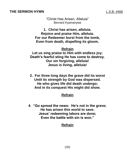#### **THE SERMON HYMN L.S.B. #466**

"Christ Has Arisen, Alleluia" Bernard Kyamanywa

**1. Christ has arisen, alleluia. Rejoice and praise Him, alleluia. For our Redeemer burst from the tomb, Even from death, dispelling its gloom.**

#### **Refrain Let us sing praise to Him with endless joy; Death's fearful sting He has come to destroy. Our sin forgiving, alleluia! Jesus is living, alleluia!**

**2. For three long days the grave did its worst Until its strength by God was dispersed. He who gives life did death undergo; And in its conquest His might did show.**

#### **Refrain**

**4. "Go spread the news: He's not in the grave; He has arisen this world to save. Jesus' redeeming labors are done; Even the battle with sin is won."**

#### **Refrain**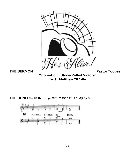

**Text: Matthew 28:1-6a**

**THE BENEDICTION** *(Amen response is sung by all.)*

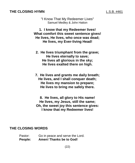#### **THE CLOSING HYMN** L.S.B. #461

"I Know That My Redeemer Lives" Samuel Medley & John Hatton

**1. I know that my Redeemer lives! What comfort this sweet sentence gives! He lives, He lives, who once was dead; He lives, my Ever-living Head!**

- **2. He lives triumphant from the grave; He lives eternally to save; He lives all glorious in the sky; He lives exalted there on high.**
- **7. He lives and grants me daily breath; He lives, and I shall conquer death; He lives my mansion to prepare; He lives to bring me safely there.**

**8. He lives, all glory to His name! He lives, my Jesus, still the same; Oh, the sweet joy this sentence gives: I know that my Redeemer lives!**

#### **THE CLOSING WORDS**

| Pastor: | Go in peace and serve the Lord. |
|---------|---------------------------------|
| People: | <b>Amen! Thanks be to God!</b>  |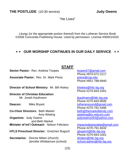**THE POSTLUDE** (10:30 service) **Judy Owens** 

"He Lives"

Liturgy (or the appropriate portion thereof) from the Lutheran Service Book ©2006 Concordia Publishing House. Used by permission. License #000014332.

#### **+ + OUR WORSHIP CONTINUES IN OUR DAILY SERVICE + +**

#### **STAFF**

**Senior Pastor:** Rev. Andrew Toopes [toopes57@gmail.com](mailto:toopes57@gmail.com)

Associate Pastor: Rev. Dr. Mark Press [press@csp.edu](mailto:press@csp.edu)

**Director of School Ministry:** Mr. Bill Hiskey [bhiskey@htlc-bg.org](mailto:bhiskey@htlc-bg.org)

**Director of Christian Education:**  Mr. Jonah Kaufmann is a state of the state of the state of the state of the state of the state of the state of the state of the state of the state of the state of the state of the state of the state of the state of the sta

**Co-Choir Directors:** Beth Markel [beth@themarkelfamily.com](mailto:beth@themarkelfamily.com)<br>Amy Wieting beth@themarkelfamily.com **Organists:** Judy Owens **intervalse in the set of the set of the set of the set of the set of the set of the set of the set of the set of the set of the set of the set of the set of the set of the set of the set of the set**  and Beth Markel **Minister of Int'l Outreach: Nelson Feliciano [impactodegraciabg@gmail.com](mailto:impactodegraciabg@gmail.com)** 

**HTLS Preschool Director:** Gretchen Bugsch [gbugsch@htlc-bg.org](mailto:gbugsch@htlc-bg.org)

**Secretaries:** Dionne Milam (church) [dmilam@htlc-bg.org](mailto:dmilam@htlc-bg.org) Jennifer Whittamore (school) [school.admin@htlc-bg.org](mailto:school.admin@htlc-bg.org)

Phone #870-672-2117 Phone #651-788-6940

Phone #270-843-1001

Phone #270-843-9595 **Deacon:** Mike Bryant Mike Bryant Mike and Deacon Lutheransound@gmail.com Phone #270-791-5495 [awieting@ix.netcom.com](mailto:awieting@ix.netcom.com)

> Phone #270-791-9432 Phone #270-843-1001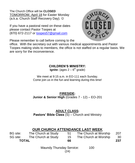The Church Office will be **CLOSED** TOMORROW, April 18 for Easter Monday (a.k.a. Church Staff Recovery Day).

If you have a pastoral need on these dates please contact Pastor Toopes at (870) 672-2117 or [toopes57@gmail.com](mailto:toopes57@gmail.com)



Please remember to call before coming to the

office. With the secretary out with various medical appointments and Pastor Toopes making visits to members, the office is not staffed on a regular basis. We are sorry for the inconvenience.

#### **CHILDREN'S MINISTRY:**

**Ignite:** (ages 2 – 6<sup>th</sup> grade)

We meet at 9:15 a.m. in EO-111 each Sunday. Come join us in the fun and learning during this time!

**FIRESIDE: Junior & Senior High** (Grades 7 - 12) – EO-201

**ADULT CLASS:**

**Pastors' Bible Class** (S) – Church and Ministry

#### **OUR CHURCH ATTENDANCE LAST WEEK**

| BG site:     | The Church at Study | -51 | The Church at Worship | 207 |
|--------------|---------------------|-----|-----------------------|-----|
| SG site:     | The Church at Study | 15  | The Church at Worship | -30 |
| <b>TOTAL</b> |                     | 66  |                       | 237 |

Maundy Thursday Service: 100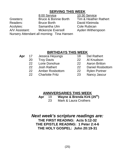## **SERVING THIS WEEK**

|                | 8:00 Service                               |
|----------------|--------------------------------------------|
| Greeters:      | <b>Bruce &amp; Bonnie Borth</b>            |
| Readers:       | <b>Bruce Borth</b>                         |
| Acolytes:      | Samantha Ulm                               |
| A/V Assistant: | <b>Mckenzie Eversoll</b>                   |
|                | Nursery Attendant all morning: Tina Hansen |

10:30 Service Tim & Heather Rathert David Kleimola Cole Rubican Ayden Witherspoon

## **BIRTHDAYS THIS WEEK**

| Apr | 17                | Jessica Heyungs        | 18              | Del Rathert             |
|-----|-------------------|------------------------|-----------------|-------------------------|
|     | 20                | <b>Troy Davis</b>      | 22 <sub>2</sub> | Al Knudson              |
|     | $22 \overline{c}$ | Lorie Donohue          | 22.             | <b>Aaron Britton</b>    |
|     | 22                | <b>Josh Rathert</b>    | 22 <sub>2</sub> | <b>Daniel Rosbottom</b> |
|     | 22                | <b>Amber Rosbottom</b> | <b>22</b>       | <b>Rylen Portner</b>    |
|     | 22                | <b>Charlotte Fritz</b> | 23              | Nancy Jascur            |

## **ANNIVERSARIES THIS WEEK**

| Apr | 19 | Wayne & Brenda Kirk (25 <sup>th</sup> ) |
|-----|----|-----------------------------------------|
|     | 23 | Mark & Laura Crothers                   |

*Next week's scripture readings are:* **THE FIRST READING: Acts 5:12-32 THE EPISTLE READING: 1 Peter 2:4-6 THE HOLY GOSPEL: John 20:19-31**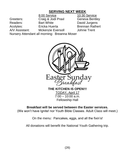## **SERVING NEXT WEEK**

8:00 Service 10:30 Service Greeters: Craig & Jodi Praxl Geneva Bentley Readers: Bart White **David Jurgens** Acolytes: Ericka Huerta Brennan Rathert A/V Assistant: Mckenzie Eversoll Johnie Trent Nursery Attendant all morning: Breanna Moser



TODAY, April 17  $7:00 - 10:00$  a.m. Fellowship Hall

#### **Breakfast will be served between the Easter services.**

(We won't have Ignite! nor Youth Bible Classes. Adult Class will meet.)

On the menu: Pancakes, eggs, and all the fixin's!

All donations will benefit the National Youth Gathering trip.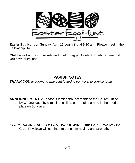**Easter Egg Hunt** on Sunday, April 17 beginning at 9:30 a.m. Please meet in the Fellowship Hall.

**Children** – bring your baskets and hunt for eggs! Contact Jonah Kaufmann if you have questions.

## **PARISH NOTES**

*THANK YOU to everyone who contributed to our worship service today.* 

**ANNOUNCEMENTS**: Please submit announcements to the Church Office by Wednesdays by e-mailing, calling, or dropping a note in the offering plate on Sundays.

*IN A MEDICAL FACILITY LAST WEEK WAS...***Ron Belek**. We pray the Great Physician will continue to bring him healing and strength.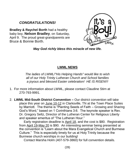## *CONGRATULATIONS!*

**Bradley & Raychel Borth** had a healthy baby boy, **Nelson Bradley**, on Saturday, April 9. The proud great-grandparents are Bruce & Bonnie Borth.



*May God richly bless this miracle of new life.*

#### **LWML NEWS**

*The ladies of LWML/"His Helping Hands" would like to wish all of our Holy Trinity Lutheran Church and School families a joyous and blessed Easter celebration! HE IS RISEN!!!*

- 1. For more information about LWML, please contact Claudine Stirn at 270-793-9991.
- 2. **LWML Mid-South District Convention –** Our district convention will take place this year on June 10-12 in Clarksville, TN at the Town Place Suites by Marriott. The theme is "Planting Seeds of Faith – Growing and Sharing God's Word," based on 1 Corinthians 3:6. The keynote speaker is Rev. Dr. Gregory Seltz, Director of the Lutheran Center for Religious Liberty and speaker emeritus of "The Lutheran Hour."

 Early registration deadline is April 18, and the cost is \$80. Registration from April 19-May 20 is \$90. An interesting seminar being presented at the convention is "Learn about the Mara Evangelical Church and Burmese Culture." This is especially timely for us at Holy Trinity because the Burmese church worships in our building!

Contact Marsha Holm (407-579-3860) for full convention details.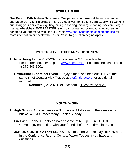#### **STEP UP 4LIFE**

**One Person CAN Make a Difference.** One person can make a difference when he or she Steps Up 4Life! Participate in LFL's virtual walk for life and earn steps while working out, doing your daily tasks, golfing, biking, shopping, mowing, cleaning, or even using a manual wheelchair. EVEN BETTER, steps can be earned by encouraging others to donate to your personal walk for LFL. Visit [www.charityfootprints.com/stepup4life](http://www.charityfootprints.com/stepup4life) for more information or check with Pastor Press. Registration begins April 25.

#### **HOLY TRINITY LUTHERAN SCHOOL NEWS**

- 1. **Now Hiring** for the 2022-2023 school year  $-3<sup>rd</sup>$  grade teacher. For information, please go to [www.htlsbg.com](http://www.htlsbg.com/) or contact the school office at 270-843-1001.
- 2. **Restaurant Fundraiser Event** Enjoy a meal and help out HTLS at the same time! Contact Alex Trabue at [pto@htlc-bg.org](mailto:pto@htlc-bg.org) for additional information.

**Donato's** (Cave Mill Rd Location) – Tuesday, April 26

#### **YOUTH WORK**

- 1. **High School Ablaze** meets on Sundays at 11:45 a.m. in the Fireside room but we will NOT meet today (Easter Sunday).
- 2. **Fuel With Friends** meets on Wednesdays at 6:00 p.m. in EO-110. Come enjoy some time with your friends before Confirmation Class.
- 3. **JUNIOR CONFIRMATION CLASS** We meet on Wednesdays at 6:30 p.m. in the Conference Room. Contact Pastor Toopes if you have any questions.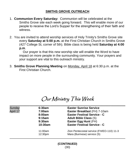#### **SMITHS GROVE OUTREACH**

- 1. **Communion Every Saturday:** Communion will be celebrated at the Smiths Grove site each week going forward. This will enable more of our people to receive the Lord's Supper for the strengthening of their faith and witness.
- 2. You are invited to attend worship services of Holy Trinity's Smiths Grove site every **Saturday at 5:00 p.m.** at the First Christian Church in Smiths Grove (427 College St, corner of 5th). Bible class is being held **Saturday at 4:00 p.m**.

 Our prayer is that this new worship site will enable the Word to have impact on more people in the surrounding community. Your prayers and your support are vital to this outreach ministry.

3. **Smiths Grove Planning Meeting** on Monday, April 18 at 6:30 p.m. at the First Christian Church.

## Our Ministry This Week

| Sunday<br>April 17 | 6:30am<br>7:00am<br>8:00am<br>9:15am<br>9:30am<br>10:30am | <b>Easter Sunrise Service</b><br>Easter Breakfast (FH) 7-10am<br><b>Easter Festival Service - C</b><br><b>Adult Bible Class (S)</b><br>Easter Egg Hunt (FH)<br><b>Easter Festival Service - C</b> |
|--------------------|-----------------------------------------------------------|---------------------------------------------------------------------------------------------------------------------------------------------------------------------------------------------------|
|                    | 11:00am<br>12:30 <sub>pm</sub>                            | Zion Pentecostal service (FH/EO-110) 11-3<br>Mara (Burmese) service (S)                                                                                                                           |